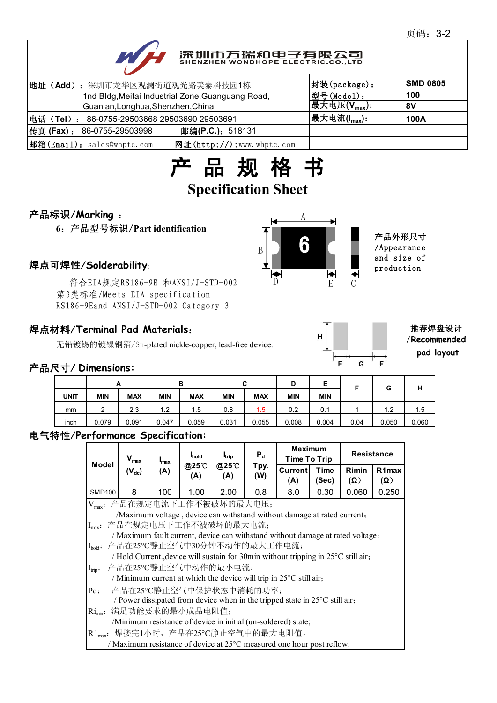# 深圳市万瑞和电子有限公司

| 地址 (Add): 深圳市龙华区观澜街道观光路美泰科技园1栋                              | 封装(package):                                    | <b>SMD 0805</b> |
|-------------------------------------------------------------|-------------------------------------------------|-----------------|
| 1nd Bldg, Meitai Industrial Zone, Guanguang Road,           | 型号(Model):                                      | 100             |
| Guanlan, Longhua, Shenzhen, China                           | 最大电压 $(\overline{\mathsf{V}_{\mathsf{max}}})$ : | 8V              |
| 电话(Tel): 86-0755-29503668 29503690 29503691                 | 最大电流( $I_{max}$ ):                              | 100A            |
| 传真 (Fax) :<br>邮编(P.C.): 518131<br>86-0755-29503998          |                                                 |                 |
| 邮箱(Email): sales@whptc.com<br>网址( $http://$ ):www.whptc.com |                                                 |                 |



### 产品标识/**Marking** :

**6**:产品型号标识/**Part identification**

符合EIA规定RS186-9E 和ANSI/J-STD-002 第3类标准/Meets EIA specification RS186-9Eand ANSI/J-STD-002 Category 3

## 焊点材料/**Terminal Pad Materials**:

无铅镀锡的镀镍铜箔/Sn-plated nickle-copper, lead-free device.

### 产品尺寸/ **Dimensions:**

|             | A          |            |               | в          |            | ~<br>ັ     | D          | F<br>-     |      | G     | н     |
|-------------|------------|------------|---------------|------------|------------|------------|------------|------------|------|-------|-------|
| <b>UNIT</b> | <b>MIN</b> | <b>MAX</b> | <b>MIN</b>    | <b>MAX</b> | <b>MIN</b> | <b>MAX</b> | <b>MIN</b> | <b>MIN</b> |      |       |       |
| mm          | ົ<br>_     | 2.3        | $\mathsf{L}2$ | !.5        | 0.8        | 1.5        | 0.2        | 0.1        |      | 1.2   | 1.5   |
| inch        | 0.079      | 0.091      | 0.047         | 0.059      | 0.031      | 0.055      | 0.008      | 0.004      | 0.04 | 0.050 | 0.060 |

#### 电气特性/**Performance Specification:**

| Model                                                                   | $V_{\text{max}}$                                                                      | $max$<br>$(V_{dc})$<br>(A) | hold<br>@25℃<br>(A) | <b>I</b> <sub>trip</sub><br>@25 C<br>(A) | $P_d$<br>Tpy.<br>(W) | <b>Maximum</b><br>Time To Trip |               | <b>Resistance</b>   |                           |  |
|-------------------------------------------------------------------------|---------------------------------------------------------------------------------------|----------------------------|---------------------|------------------------------------------|----------------------|--------------------------------|---------------|---------------------|---------------------------|--|
|                                                                         |                                                                                       |                            |                     |                                          |                      | Current<br>(A)                 | Time<br>(Sec) | Rimin<br>$(\Omega)$ | R <sub>1</sub> max<br>(Ω) |  |
| <b>SMD100</b>                                                           | 8                                                                                     | 100                        | 1.00                | 2.00                                     | 0.8                  | 8.0                            | 0.30          | 0.060               | 0.250                     |  |
| Vmax: 产品在规定电流下工作不被破坏的最大电压;                                              |                                                                                       |                            |                     |                                          |                      |                                |               |                     |                           |  |
| /Maximum voltage, device can withstand without damage at rated current; |                                                                                       |                            |                     |                                          |                      |                                |               |                     |                           |  |
|                                                                         | Imax: 产品在规定电压下工作不被破坏的最大电流;                                                            |                            |                     |                                          |                      |                                |               |                     |                           |  |
|                                                                         | / Maximum fault current, device can withstand without damage at rated voltage;        |                            |                     |                                          |                      |                                |               |                     |                           |  |
|                                                                         | I <sub>hok</sub> : 产品在25℃静止空气中30分钟不动作的最大工作电流;                                         |                            |                     |                                          |                      |                                |               |                     |                           |  |
|                                                                         | / Hold Current., device will sustain for 30min without tripping in 25°C still air,    |                            |                     |                                          |                      |                                |               |                     |                           |  |
| $I_{trip}$ :                                                            | 产品在25°C静止空气中动作的最小电流;                                                                  |                            |                     |                                          |                      |                                |               |                     |                           |  |
|                                                                         | / Minimum current at which the device will trip in $25^{\circ}$ C still air,          |                            |                     |                                          |                      |                                |               |                     |                           |  |
| $Pd$ :                                                                  | 产品在25°C静止空气中保护状态中消耗的功率;                                                               |                            |                     |                                          |                      |                                |               |                     |                           |  |
|                                                                         | / Power dissipated from device when in the tripped state in $25^{\circ}$ C still air, |                            |                     |                                          |                      |                                |               |                     |                           |  |
| $\text{Ri}_{\text{min}}$ :                                              | 满足功能要求的最小成品电阻值;                                                                       |                            |                     |                                          |                      |                                |               |                     |                           |  |
|                                                                         | /Minimum resistance of device in initial (un-soldered) state;                         |                            |                     |                                          |                      |                                |               |                     |                           |  |
|                                                                         | R1 <sub>max</sub> : 焊接完1小时, 产品在25℃静止空气中的最大电阻值。                                        |                            |                     |                                          |                      |                                |               |                     |                           |  |
|                                                                         | / Maximum resistance of device at 25°C measured one hour post reflow.                 |                            |                     |                                          |                      |                                |               |                     |                           |  |



 $\mathbf{F}$ 

G

推荐焊盘设计 /**Recommended pad layout**